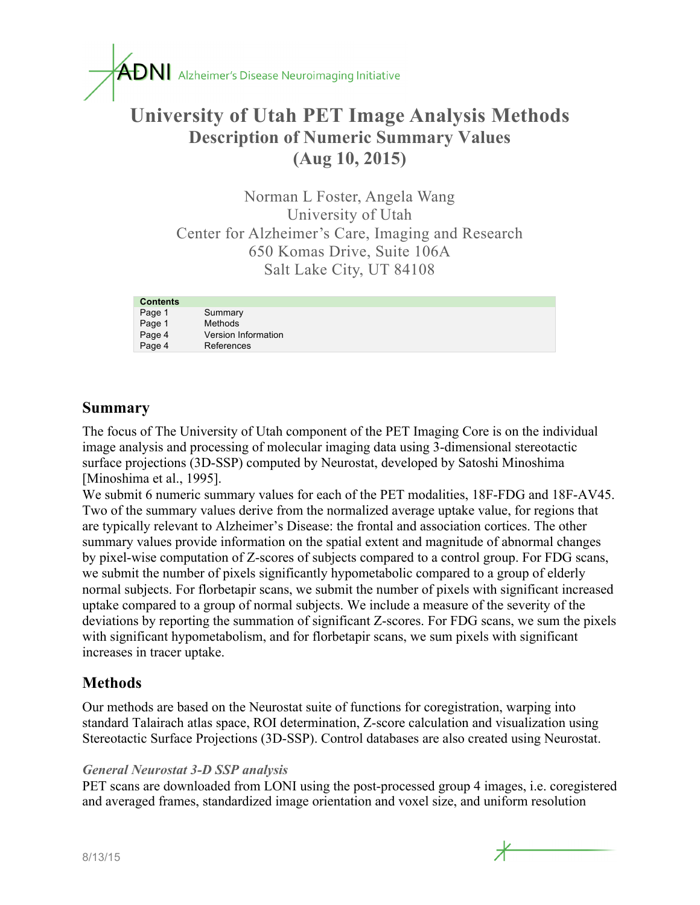

# **University of Utah PET Image Analysis Methods Description of Numeric Summary Values (Aug 10, 2015)**

Norman L Foster, Angela Wang University of Utah Center for Alzheimer's Care, Imaging and Research 650 Komas Drive, Suite 106A Salt Lake City, UT 84108

| <b>Contents</b> |                     |
|-----------------|---------------------|
| Page 1          | Summary             |
| Page 1          | <b>Methods</b>      |
| Page 4          | Version Information |
| Page 4          | References          |

### **Summary**

The focus of The University of Utah component of the PET Imaging Core is on the individual image analysis and processing of molecular imaging data using 3-dimensional stereotactic surface projections (3D-SSP) computed by Neurostat, developed by Satoshi Minoshima [Minoshima et al., 1995].

We submit 6 numeric summary values for each of the PET modalities, 18F-FDG and 18F-AV45. Two of the summary values derive from the normalized average uptake value, for regions that are typically relevant to Alzheimer's Disease: the frontal and association cortices. The other summary values provide information on the spatial extent and magnitude of abnormal changes by pixel-wise computation of Z-scores of subjects compared to a control group. For FDG scans, we submit the number of pixels significantly hypometabolic compared to a group of elderly normal subjects. For florbetapir scans, we submit the number of pixels with significant increased uptake compared to a group of normal subjects. We include a measure of the severity of the deviations by reporting the summation of significant Z-scores. For FDG scans, we sum the pixels with significant hypometabolism, and for florbetapir scans, we sum pixels with significant increases in tracer uptake.

#### **Methods**

Our methods are based on the Neurostat suite of functions for coregistration, warping into standard Talairach atlas space, ROI determination, Z-score calculation and visualization using Stereotactic Surface Projections (3D-SSP). Control databases are also created using Neurostat.

#### *General Neurostat 3-D SSP analysis*

PET scans are downloaded from LONI using the post-processed group 4 images, i.e. coregistered and averaged frames, standardized image orientation and voxel size, and uniform resolution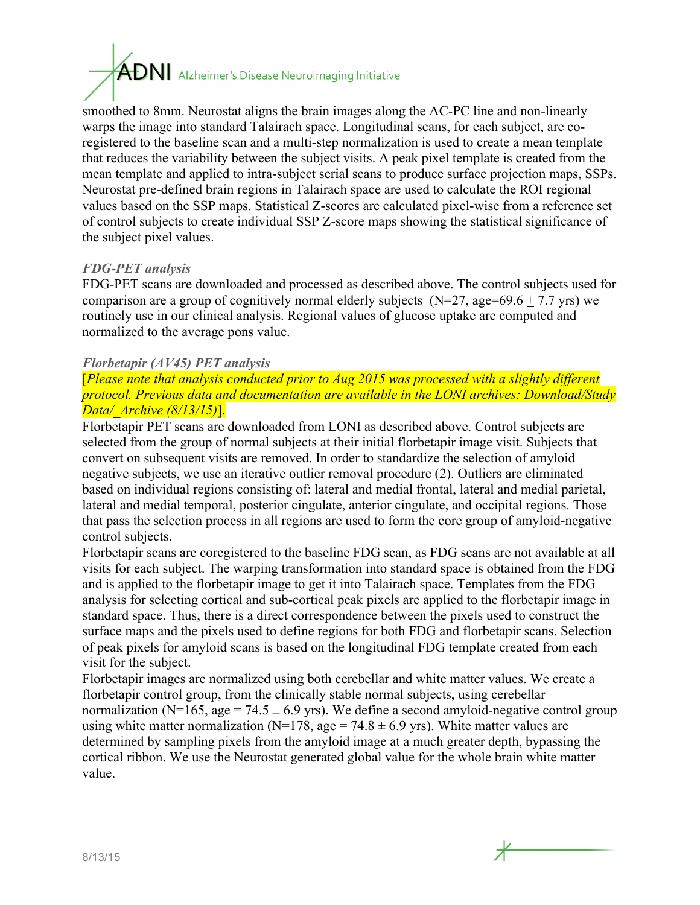# $\overline{ADN}$  Alzheimer's Disease Neuroimaging Initiative

smoothed to 8mm. Neurostat aligns the brain images along the AC-PC line and non-linearly warps the image into standard Talairach space. Longitudinal scans, for each subject, are coregistered to the baseline scan and a multi-step normalization is used to create a mean template that reduces the variability between the subject visits. A peak pixel template is created from the mean template and applied to intra-subject serial scans to produce surface projection maps, SSPs. Neurostat pre-defined brain regions in Talairach space are used to calculate the ROI regional values based on the SSP maps. Statistical Z-scores are calculated pixel-wise from a reference set of control subjects to create individual SSP Z-score maps showing the statistical significance of the subject pixel values.

#### *FDG-PET analysis*

FDG-PET scans are downloaded and processed as described above. The control subjects used for comparison are a group of cognitively normal elderly subjects ( $N=27$ , age=69.6 + 7.7 yrs) we routinely use in our clinical analysis. Regional values of glucose uptake are computed and normalized to the average pons value.

#### *Florbetapir (AV45) PET analysis*

[*Please note that analysis conducted prior to Aug 2015 was processed with a slightly different protocol. Previous data and documentation are available in the LONI archives: Download/Study Data/\_Archive (8/13/15)*].

Florbetapir PET scans are downloaded from LONI as described above. Control subjects are selected from the group of normal subjects at their initial florbetapir image visit. Subjects that convert on subsequent visits are removed. In order to standardize the selection of amyloid negative subjects, we use an iterative outlier removal procedure (2). Outliers are eliminated based on individual regions consisting of: lateral and medial frontal, lateral and medial parietal, lateral and medial temporal, posterior cingulate, anterior cingulate, and occipital regions. Those that pass the selection process in all regions are used to form the core group of amyloid-negative control subjects.

Florbetapir scans are coregistered to the baseline FDG scan, as FDG scans are not available at all visits for each subject. The warping transformation into standard space is obtained from the FDG and is applied to the florbetapir image to get it into Talairach space. Templates from the FDG analysis for selecting cortical and sub-cortical peak pixels are applied to the florbetapir image in standard space. Thus, there is a direct correspondence between the pixels used to construct the surface maps and the pixels used to define regions for both FDG and florbetapir scans. Selection of peak pixels for amyloid scans is based on the longitudinal FDG template created from each visit for the subject.

Florbetapir images are normalized using both cerebellar and white matter values. We create a florbetapir control group, from the clinically stable normal subjects, using cerebellar normalization (N=165, age = 74.5  $\pm$  6.9 yrs). We define a second amyloid-negative control group using white matter normalization (N=178, age = 74.8  $\pm$  6.9 yrs). White matter values are determined by sampling pixels from the amyloid image at a much greater depth, bypassing the cortical ribbon. We use the Neurostat generated global value for the whole brain white matter value.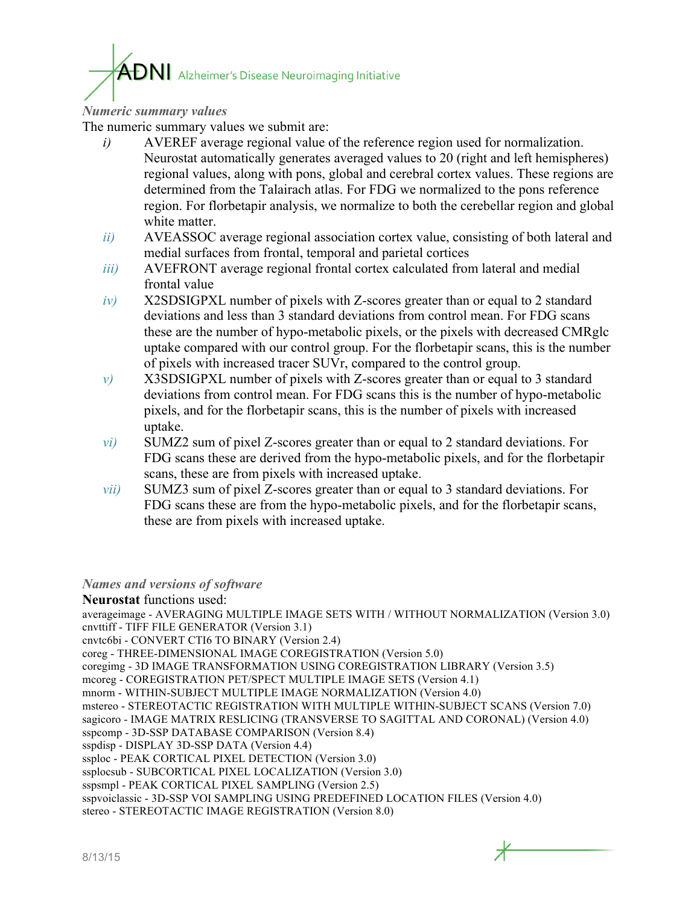# $\mathop{\mathrm{ADN}}\nolimits$  Alzheimer's Disease Neuroimaging Initiative

#### *Numeric summary values*

The numeric summary values we submit are:

- *i)* AVEREF average regional value of the reference region used for normalization. Neurostat automatically generates averaged values to 20 (right and left hemispheres) regional values, along with pons, global and cerebral cortex values. These regions are determined from the Talairach atlas. For FDG we normalized to the pons reference region. For florbetapir analysis, we normalize to both the cerebellar region and global white matter.
- *ii)* AVEASSOC average regional association cortex value, consisting of both lateral and medial surfaces from frontal, temporal and parietal cortices
- *iii*) AVEFRONT average regional frontal cortex calculated from lateral and medial frontal value
- *iv)* X2SDSIGPXL number of pixels with Z-scores greater than or equal to 2 standard deviations and less than 3 standard deviations from control mean. For FDG scans these are the number of hypo-metabolic pixels, or the pixels with decreased CMRglc uptake compared with our control group. For the florbetapir scans, this is the number of pixels with increased tracer SUVr, compared to the control group.
- *v)* X3SDSIGPXL number of pixels with Z-scores greater than or equal to 3 standard deviations from control mean. For FDG scans this is the number of hypo-metabolic pixels, and for the florbetapir scans, this is the number of pixels with increased uptake.
- *vi)* SUMZ2 sum of pixel Z-scores greater than or equal to 2 standard deviations. For FDG scans these are derived from the hypo-metabolic pixels, and for the florbetapir scans, these are from pixels with increased uptake.
- *vii)* SUMZ3 sum of pixel Z-scores greater than or equal to 3 standard deviations. For FDG scans these are from the hypo-metabolic pixels, and for the florbetapir scans, these are from pixels with increased uptake.

#### *Names and versions of software*

**Neurostat** functions used: averageimage - AVERAGING MULTIPLE IMAGE SETS WITH / WITHOUT NORMALIZATION (Version 3.0) cnvttiff - TIFF FILE GENERATOR (Version 3.1) cnvtc6bi - CONVERT CTI6 TO BINARY (Version 2.4) coreg - THREE-DIMENSIONAL IMAGE COREGISTRATION (Version 5.0) coregimg - 3D IMAGE TRANSFORMATION USING COREGISTRATION LIBRARY (Version 3.5) mcoreg - COREGISTRATION PET/SPECT MULTIPLE IMAGE SETS (Version 4.1) mnorm - WITHIN-SUBJECT MULTIPLE IMAGE NORMALIZATION (Version 4.0) mstereo - STEREOTACTIC REGISTRATION WITH MULTIPLE WITHIN-SUBJECT SCANS (Version 7.0) sagicoro - IMAGE MATRIX RESLICING (TRANSVERSE TO SAGITTAL AND CORONAL) (Version 4.0) sspcomp - 3D-SSP DATABASE COMPARISON (Version 8.4) sspdisp - DISPLAY 3D-SSP DATA (Version 4.4) ssploc - PEAK CORTICAL PIXEL DETECTION (Version 3.0) ssplocsub - SUBCORTICAL PIXEL LOCALIZATION (Version 3.0) sspsmpl - PEAK CORTICAL PIXEL SAMPLING (Version 2.5) sspvoiclassic - 3D-SSP VOI SAMPLING USING PREDEFINED LOCATION FILES (Version 4.0) stereo - STEREOTACTIC IMAGE REGISTRATION (Version 8.0)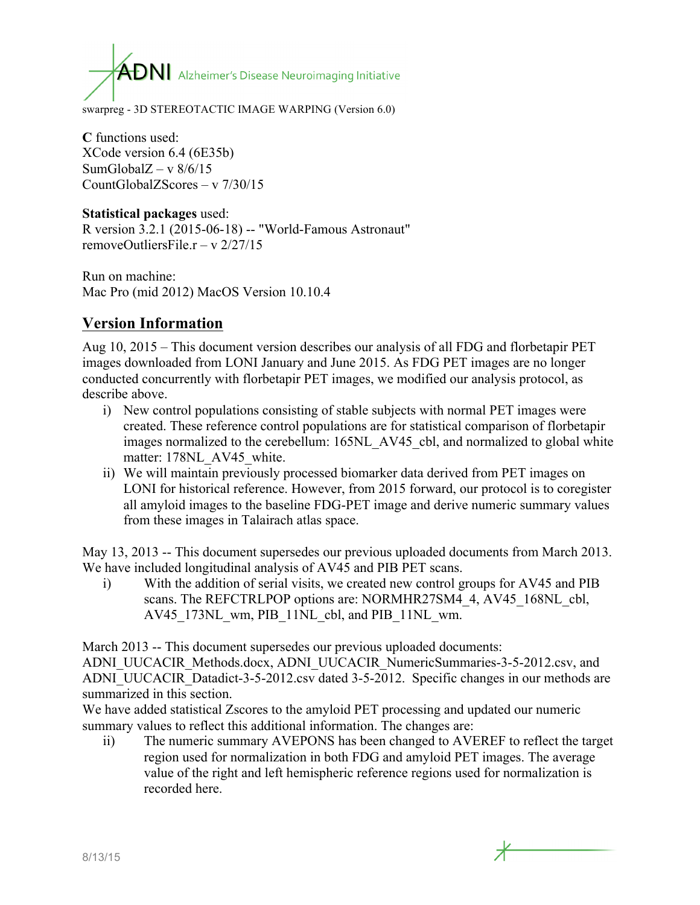$\overline{ADN}$  Alzheimer's Disease Neuroimaging Initiative

swarpreg - 3D STEREOTACTIC IMAGE WARPING (Version 6.0)

**C** functions used: XCode version 6.4 (6E35b) SumGlobal $Z - v$  8/6/15 CountGlobalZScores – v 7/30/15

#### **Statistical packages** used: R version 3.2.1 (2015-06-18) -- "World-Famous Astronaut"

removeOutliersFile  $r - v \frac{2}{27/15}$ 

Run on machine: Mac Pro (mid 2012) MacOS Version 10.10.4

## **Version Information**

Aug 10, 2015 – This document version describes our analysis of all FDG and florbetapir PET images downloaded from LONI January and June 2015. As FDG PET images are no longer conducted concurrently with florbetapir PET images, we modified our analysis protocol, as describe above.

- i) New control populations consisting of stable subjects with normal PET images were created. These reference control populations are for statistical comparison of florbetapir images normalized to the cerebellum: 165NL\_AV45\_cbl, and normalized to global white matter: 178NL AV45 white.
- ii) We will maintain previously processed biomarker data derived from PET images on LONI for historical reference. However, from 2015 forward, our protocol is to coregister all amyloid images to the baseline FDG-PET image and derive numeric summary values from these images in Talairach atlas space.

May 13, 2013 -- This document supersedes our previous uploaded documents from March 2013. We have included longitudinal analysis of AV45 and PIB PET scans.

i) With the addition of serial visits, we created new control groups for AV45 and PIB scans. The REFCTRLPOP options are: NORMHR27SM4 4, AV45 168NL cbl, AV45\_173NL\_wm, PIB\_11NL\_cbl, and PIB\_11NL\_wm.

March 2013 -- This document supersedes our previous uploaded documents:

ADNI\_UUCACIR\_Methods.docx, ADNI\_UUCACIR\_NumericSummaries-3-5-2012.csv, and ADNI\_UUCACIR\_Datadict-3-5-2012.csv dated 3-5-2012. Specific changes in our methods are summarized in this section.

We have added statistical Zscores to the amyloid PET processing and updated our numeric summary values to reflect this additional information. The changes are:

ii) The numeric summary AVEPONS has been changed to AVEREF to reflect the target region used for normalization in both FDG and amyloid PET images. The average value of the right and left hemispheric reference regions used for normalization is recorded here.